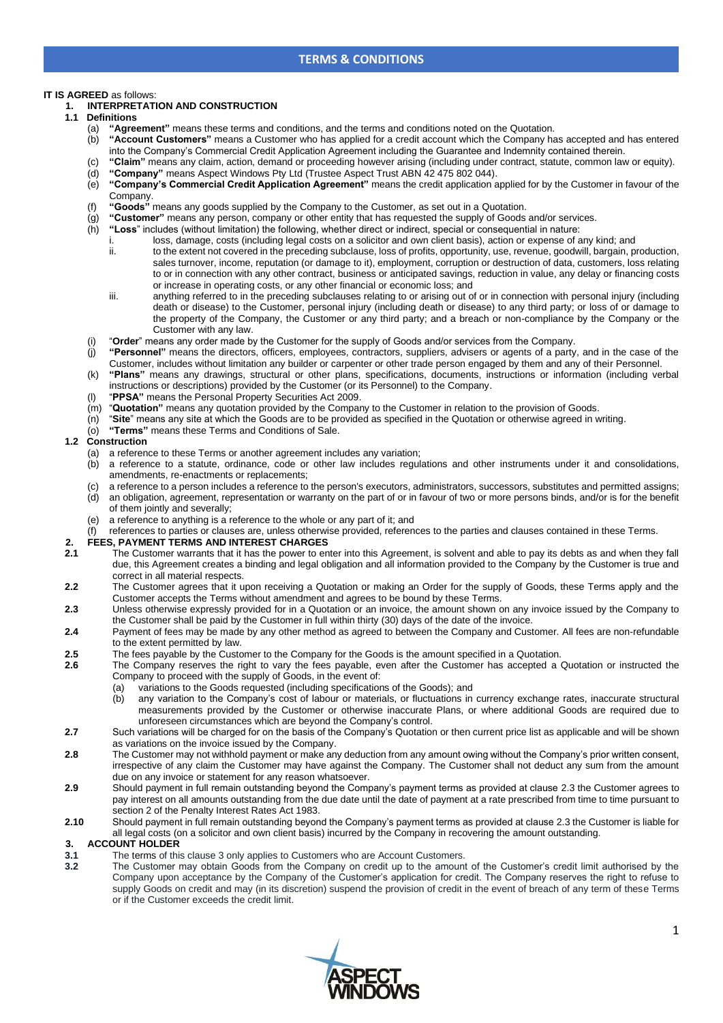## **IT IS AGREED** as follows:

## **1. INTERPRETATION AND CONSTRUCTION**

- **1.1 Definitions** 
	- (a) **"Agreement"** means these terms and conditions, and the terms and conditions noted on the Quotation.<br>(b) **"Account Customers"** means a Customer who has applied for a credit account which the Company has
		- "Account Customers" means a Customer who has applied for a credit account which the Company has accepted and has entered into the Company's Commercial Credit Application Agreement including the Guarantee and Indemnity contained therein.
	- (c) **"Claim"** means any claim, action, demand or proceeding however arising (including under contract, statute, common law or equity).
	- (d) **"Company"** means Aspect Windows Pty Ltd (Trustee Aspect Trust ABN 42 475 802 044). (e) **"Company's Commercial Credit Application Agreement"** means the credit application applied for by the Customer in favour of the Company.
	- (f) **"Goods"** means any goods supplied by the Company to the Customer, as set out in a Quotation.
	- (g) **"Customer"** means any person, company or other entity that has requested the supply of Goods and/or services.
	- "Loss" includes (without limitation) the following, whether direct or indirect, special or consequential in nature:
		- loss, damage, costs (including legal costs on a solicitor and own client basis), action or expense of any kind; and ii. to the extent not covered in the preceding subclause, loss of profits, opportunity, use, revenue, goodwill, bargain, production, sales turnover, income, reputation (or damage to it), employment, corruption or destruction of data, customers, loss relating to or in connection with any other contract, business or anticipated savings, reduction in value, any delay or financing costs
		- or increase in operating costs, or any other financial or economic loss; and iii. anything referred to in the preceding subclauses relating to or arising out of or in connection with personal injury (including death or disease) to the Customer, personal injury (including death or disease) to any third party; or loss of or damage to the property of the Company, the Customer or any third party; and a breach or non-compliance by the Company or the Customer with any law.
	- (i) "**Order**" means any order made by the Customer for the supply of Goods and/or services from the Company.
	- (j) **"Personnel"** means the directors, officers, employees, contractors, suppliers, advisers or agents of a party, and in the case of the Customer, includes without limitation any builder or carpenter or other trade person engaged by them and any of their Personnel.
	- (k) **"Plans"** means any drawings, structural or other plans, specifications, documents, instructions or information (including verbal instructions or descriptions) provided by the Customer (or its Personnel) to the Company.
	- "PPSA" means the Personal Property Securities Act 2009.
	- (m) "**Quotation"** means any quotation provided by the Company to the Customer in relation to the provision of Goods.
	- (n) "**Site**" means any site at which the Goods are to be provided as specified in the Quotation or otherwise agreed in writing.
	- (o) **"Terms"** means these Terms and Conditions of Sale.

#### **1.2 Construction**

- (a) a reference to these Terms or another agreement includes any variation;
- (b) a reference to a statute, ordinance, code or other law includes regulations and other instruments under it and consolidations, amendments, re-enactments or replacements;
- (c) a reference to a person includes a reference to the person's executors, administrators, successors, substitutes and permitted assigns; (d) an obligation, agreement, representation or warranty on the part of or in favour of two or more persons binds, and/or is for the benefit of them jointly and severally;
- (e) a reference to anything is a reference to the whole or any part of it; and
- references to parties or clauses are, unless otherwise provided, references to the parties and clauses contained in these Terms.

# **2. FEES, PAYMENT TERMS AND INTEREST CHARGES**

- **2.1** The Customer warrants that it has the power to enter into this Agreement, is solvent and able to pay its debts as and when they fall due, this Agreement creates a binding and legal obligation and all information provided to the Company by the Customer is true and correct in all material respects.
- **2.2** The Customer agrees that it upon receiving a Quotation or making an Order for the supply of Goods, these Terms apply and the Customer accepts the Terms without amendment and agrees to be bound by these Terms.
- <span id="page-0-0"></span>**2.3** Unless otherwise expressly provided for in a Quotation or an invoice, the amount shown on any invoice issued by the Company to the Customer shall be paid by the Customer in full within thirty (30) days of the date of the invoice.
- **2.4** Payment of fees may be made by any other method as agreed to between the Company and Customer. All fees are non-refundable to the extent permitted by law.
- **2.5** The fees payable by the Customer to the Company for the Goods is the amount specified in a Quotation.
- **2.6** The Company reserves the right to vary the fees payable, even after the Customer has accepted a Quotation or instructed the Company to proceed with the supply of Goods, in the event of:
	- (a) variations to the Goods requested (including specifications of the Goods); and
	- (b) any variation to the Company's cost of labour or materials, or fluctuations in currency exchange rates, inaccurate structural measurements provided by the Customer or otherwise inaccurate Plans, or where additional Goods are required due to unforeseen circumstances which are beyond the Company's control.
- **2.7** Such variations will be charged for on the basis of the Company's Quotation or then current price list as applicable and will be shown as variations on the invoice issued by the Company.
- **2.8** The Customer may not withhold payment or make any deduction from any amount owing without the Company's prior written consent, irrespective of any claim the Customer may have against the Company. The Customer shall not deduct any sum from the amount due on any invoice or statement for any reason whatsoever.
- **2.9** Should payment in full remain outstanding beyond the Company's payment terms as provided at clause [2.3](#page-0-0) the Customer agrees to pay interest on all amounts outstanding from the due date until the date of payment at a rate prescribed from time to time pursuant to section 2 of the Penalty Interest Rates Act 1983.
- **2.10** Should payment in full remain outstanding beyond the Company's payment terms as provided at clause [2.3](#page-0-0) the Customer is liable for all legal costs (on a solicitor and own client basis) incurred by the Company in recovering the amount outstanding.

#### <span id="page-0-1"></span>**3. ACCOUNT HOLDER**

- **3.1** The terms of this clause [3](#page-0-1) only applies to Customers who are Account Customers.
- **3.2** The Customer may obtain Goods from the Company on credit up to the amount of the Customer's credit limit authorised by the Company upon acceptance by the Company of the Customer's application for credit. The Company reserves the right to refuse to supply Goods on credit and may (in its discretion) suspend the provision of credit in the event of breach of any term of these Terms or if the Customer exceeds the credit limit.

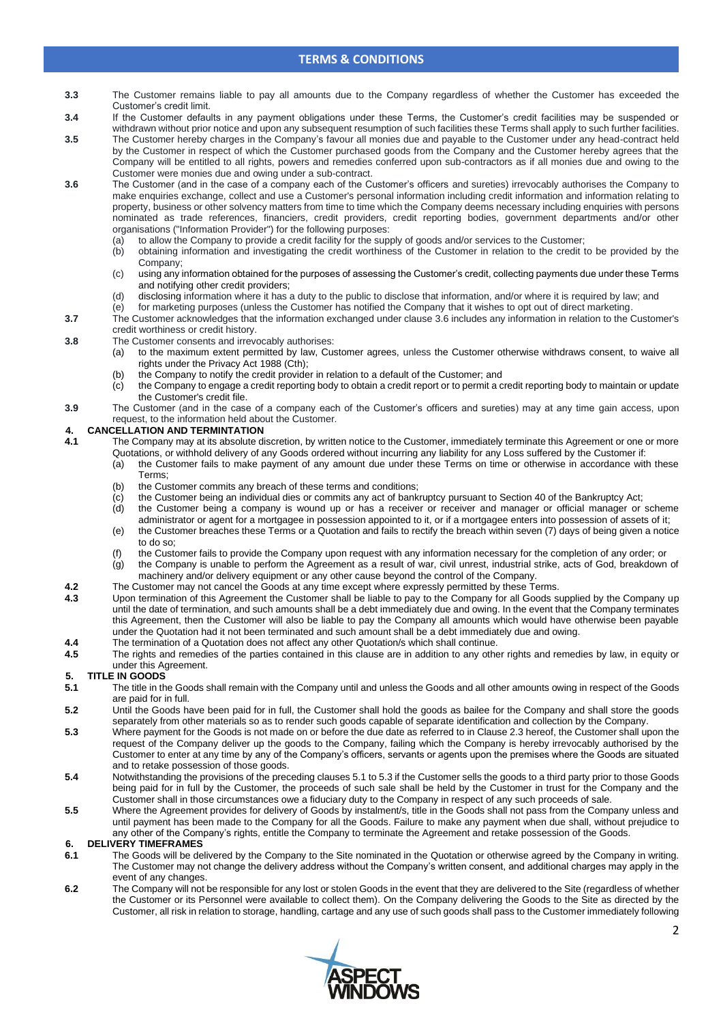- **3.3** The Customer remains liable to pay all amounts due to the Company regardless of whether the Customer has exceeded the Customer's credit limit.
- **3.4** If the Customer defaults in any payment obligations under these Terms, the Customer's credit facilities may be suspended or withdrawn without prior notice and upon any subsequent resumption of such facilities these Terms shall apply to such further facilities.
- **3.5** The Customer hereby charges in the Company's favour all monies due and payable to the Customer under any head-contract held by the Customer in respect of which the Customer purchased goods from the Company and the Customer hereby agrees that the Company will be entitled to all rights, powers and remedies conferred upon sub-contractors as if all monies due and owing to the Customer were monies due and owing under a sub-contract.
- <span id="page-1-0"></span>**3.6** The Customer (and in the case of a company each of the Customer's officers and sureties) irrevocably authorises the Company to make enquiries exchange, collect and use a Customer's personal information including credit information and information relating to property, business or other solvency matters from time to time which the Company deems necessary including enquiries with persons nominated as trade references, financiers, credit providers, credit reporting bodies, government departments and/or other organisations ("Information Provider") for the following purposes:
	- (a) to allow the Company to provide a credit facility for the supply of goods and/or services to the Customer;
	- (b) obtaining information and investigating the credit worthiness of the Customer in relation to the credit to be provided by the Company;
	- (c) using any information obtained for the purposes of assessing the Customer's credit, collecting payments due under these Terms and notifying other credit providers;
	- (d) disclosing information where it has a duty to the public to disclose that information, and/or where it is required by law; and
	- (e) for marketing purposes (unless the Customer has notified the Company that it wishes to opt out of direct marketing.
- **3.7** The Customer acknowledges that the information exchanged under claus[e 3.6](#page-1-0) includes any information in relation to the Customer's credit worthiness or credit history.
- **3.8** The Customer consents and irrevocably authorises:
	- (a) to the maximum extent permitted by law, Customer agrees, unless the Customer otherwise withdraws consent, to waive all rights under the Privacy Act 1988 (Cth);
		- (b) the Company to notify the credit provider in relation to a default of the Customer; and
		- (c) the Company to engage a credit reporting body to obtain a credit report or to permit a credit reporting body to maintain or update the Customer's credit file.
- **3.9** The Customer (and in the case of a company each of the Customer's officers and sureties) may at any time gain access, upon request, to the information held about the Customer.

## **4. CANCELLATION AND TERMINTATION**

- **4.1** The Company may at its absolute discretion, by written notice to the Customer, immediately terminate this Agreement or one or more Quotations, or withhold delivery of any Goods ordered without incurring any liability for any Loss suffered by the Customer if:
	- (a) the Customer fails to make payment of any amount due under these Terms on time or otherwise in accordance with these Terms;
	- (b) the Customer commits any breach of these terms and conditions;
	- (c) the Customer being an individual dies or commits any act of bankruptcy pursuant to Section 40 of the Bankruptcy Act;
	- (d) the Customer being a company is wound up or has a receiver or receiver and manager or official manager or scheme administrator or agent for a mortgagee in possession appointed to it, or if a mortgagee enters into possession of assets of it; (e) the Customer breaches these Terms or a Quotation and fails to rectify the breach within seven (7) days of being given a notice
	- to do so; (f) the Customer fails to provide the Company upon request with any information necessary for the completion of any order; or
	- (g) the Company is unable to perform the Agreement as a result of war, civil unrest, industrial strike, acts of God, breakdown of machinery and/or delivery equipment or any other cause beyond the control of the Company.
	-
- **4.2** The Customer may not cancel the Goods at any time except where expressly permitted by these Terms.<br>**4.3** Upon termination of this Agreement the Customer shall be liable to pay to the Company for all Goods s **4.3** Upon termination of this Agreement the Customer shall be liable to pay to the Company for all Goods supplied by the Company up until the date of termination, and such amounts shall be a debt immediately due and owing. In the event that the Company terminates this Agreement, then the Customer will also be liable to pay the Company all amounts which would have otherwise been payable under the Quotation had it not been terminated and such amount shall be a debt immediately due and owing.
- **4.4** The termination of a Quotation does not affect any other Quotation/s which shall continue.
- **4.5** The rights and remedies of the parties contained in this clause are in addition to any other rights and remedies by law, in equity or under this Agreement.

## **5. TITLE IN GOODS**

- <span id="page-1-1"></span>**5.1** The title in the Goods shall remain with the Company until and unless the Goods and all other amounts owing in respect of the Goods are paid for in full.
- **5.2** Until the Goods have been paid for in full, the Customer shall hold the goods as bailee for the Company and shall store the goods separately from other materials so as to render such goods capable of separate identification and collection by the Company.
- <span id="page-1-2"></span>**5.3** Where payment for the Goods is not made on or before the due date as referred to in Clause [2.3](#page-0-0) hereof, the Customer shall upon the request of the Company deliver up the goods to the Company, failing which the Company is hereby irrevocably authorised by the Customer to enter at any time by any of the Company's officers, servants or agents upon the premises where the Goods are situated and to retake possession of those goods.
- **5.4** Notwithstanding the provisions of the preceding clause[s 5.1](#page-1-1) t[o 5.3](#page-1-2) if the Customer sells the goods to a third party prior to those Goods being paid for in full by the Customer, the proceeds of such sale shall be held by the Customer in trust for the Company and the Customer shall in those circumstances owe a fiduciary duty to the Company in respect of any such proceeds of sale.
- **5.5** Where the Agreement provides for delivery of Goods by instalment/s, title in the Goods shall not pass from the Company unless and until payment has been made to the Company for all the Goods. Failure to make any payment when due shall, without prejudice to any other of the Company's rights, entitle the Company to terminate the Agreement and retake possession of the Goods.

## **6. DELIVERY TIMEFRAMES**

- **6.1** The Goods will be delivered by the Company to the Site nominated in the Quotation or otherwise agreed by the Company in writing. The Customer may not change the delivery address without the Company's written consent, and additional charges may apply in the event of any changes.
- **6.2** The Company will not be responsible for any lost or stolen Goods in the event that they are delivered to the Site (regardless of whether the Customer or its Personnel were available to collect them). On the Company delivering the Goods to the Site as directed by the Customer, all risk in relation to storage, handling, cartage and any use of such goods shall pass to the Customer immediately following

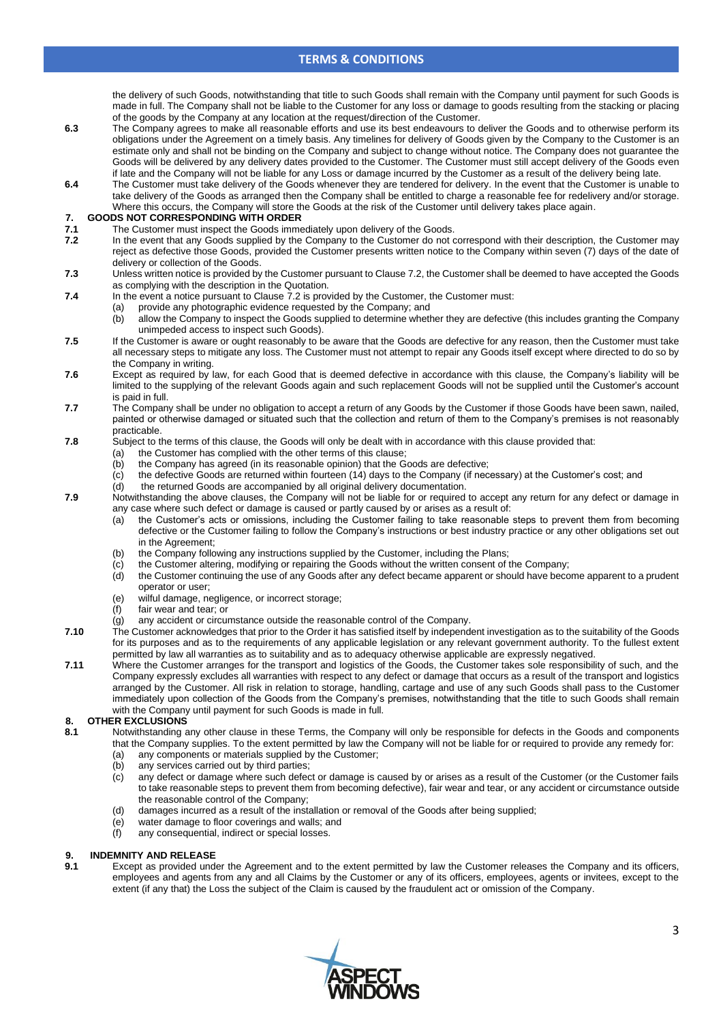the delivery of such Goods, notwithstanding that title to such Goods shall remain with the Company until payment for such Goods is made in full. The Company shall not be liable to the Customer for any loss or damage to goods resulting from the stacking or placing of the goods by the Company at any location at the request/direction of the Customer.

- **6.3** The Company agrees to make all reasonable efforts and use its best endeavours to deliver the Goods and to otherwise perform its obligations under the Agreement on a timely basis. Any timelines for delivery of Goods given by the Company to the Customer is an estimate only and shall not be binding on the Company and subject to change without notice. The Company does not guarantee the Goods will be delivered by any delivery dates provided to the Customer. The Customer must still accept delivery of the Goods even if late and the Company will not be liable for any Loss or damage incurred by the Customer as a result of the delivery being late.
- **6.4** The Customer must take delivery of the Goods whenever they are tendered for delivery. In the event that the Customer is unable to take delivery of the Goods as arranged then the Company shall be entitled to charge a reasonable fee for redelivery and/or storage. Where this occurs, the Company will store the Goods at the risk of the Customer until delivery takes place again.

# **7. GOODS NOT CORRESPONDING WITH ORDER**

- The Customer must inspect the Goods immediately upon delivery of the Goods.
- <span id="page-2-0"></span>**7.2** In the event that any Goods supplied by the Company to the Customer do not correspond with their description, the Customer may reject as defective those Goods, provided the Customer presents written notice to the Company within seven (7) days of the date of delivery or collection of the Goods.
- **7.3** Unless written notice is provided by the Customer pursuant to Clause [7.2,](#page-2-0) the Customer shall be deemed to have accepted the Goods as complying with the description in the Quotation.
- **7.4** In the event a notice pursuant to Claus[e 7.2](#page-2-0) is provided by the Customer, the Customer must:
	- (a) provide any photographic evidence requested by the Company; and
	- (b) allow the Company to inspect the Goods supplied to determine whether they are defective (this includes granting the Company unimpeded access to inspect such Goods).
- **7.5** If the Customer is aware or ought reasonably to be aware that the Goods are defective for any reason, then the Customer must take all necessary steps to mitigate any loss. The Customer must not attempt to repair any Goods itself except where directed to do so by the Company in writing.
- **7.6** Except as required by law, for each Good that is deemed defective in accordance with this clause, the Company's liability will be limited to the supplying of the relevant Goods again and such replacement Goods will not be supplied until the Customer's account is paid in full.
- **7.7** The Company shall be under no obligation to accept a return of any Goods by the Customer if those Goods have been sawn, nailed, painted or otherwise damaged or situated such that the collection and return of them to the Company's premises is not reasonably practicable.
- **7.8** Subject to the terms of this clause, the Goods will only be dealt with in accordance with this clause provided that:
	- (a) the Customer has complied with the other terms of this clause;
	- (b) the Company has agreed (in its reasonable opinion) that the Goods are defective;
	- $(c)$  the defective Goods are returned within fourteen (14) days to the Company (if necessary) at the Customer's cost; and
	- (d) the returned Goods are accompanied by all original delivery documentation.
- **7.9** Notwithstanding the above clauses, the Company will not be liable for or required to accept any return for any defect or damage in any case where such defect or damage is caused or partly caused by or arises as a result of:
	- (a) the Customer's acts or omissions, including the Customer failing to take reasonable steps to prevent them from becoming defective or the Customer failing to follow the Company's instructions or best industry practice or any other obligations set out in the Agreement;
	- (b) the Company following any instructions supplied by the Customer, including the Plans;
	- (c) the Customer altering, modifying or repairing the Goods without the written consent of the Company;
	- (d) the Customer continuing the use of any Goods after any defect became apparent or should have become apparent to a prudent operator or user;
	- (e) wilful damage, negligence, or incorrect storage;
	- (f) fair wear and tear; or
	- $\overline{q}$  any accident or circumstance outside the reasonable control of the Company.
- **7.10** The Customer acknowledges that prior to the Order it has satisfied itself by independent investigation as to the suitability of the Goods for its purposes and as to the requirements of any applicable legislation or any relevant government authority. To the fullest extent permitted by law all warranties as to suitability and as to adequacy otherwise applicable are expressly negatived.
- **7.11** Where the Customer arranges for the transport and logistics of the Goods, the Customer takes sole responsibility of such, and the Company expressly excludes all warranties with respect to any defect or damage that occurs as a result of the transport and logistics arranged by the Customer. All risk in relation to storage, handling, cartage and use of any such Goods shall pass to the Customer immediately upon collection of the Goods from the Company's premises, notwithstanding that the title to such Goods shall remain with the Company until payment for such Goods is made in full.

#### **8. OTHER EXCLUSIONS**

- **8.1** Notwithstanding any other clause in these Terms, the Company will only be responsible for defects in the Goods and components that the Company supplies. To the extent permitted by law the Company will not be liable for or required to provide any remedy for:
	- (a) any components or materials supplied by the Customer;
	- (b) any services carried out by third parties;
	- (c) any defect or damage where such defect or damage is caused by or arises as a result of the Customer (or the Customer fails to take reasonable steps to prevent them from becoming defective), fair wear and tear, or any accident or circumstance outside the reasonable control of the Company;
	- (d) damages incurred as a result of the installation or removal of the Goods after being supplied;
	- (e) water damage to floor coverings and walls; and
	- (f) any consequential, indirect or special losses.

### **9. INDEMNITY AND RELEASE**

**9.1** Except as provided under the Agreement and to the extent permitted by law the Customer releases the Company and its officers, employees and agents from any and all Claims by the Customer or any of its officers, employees, agents or invitees, except to the extent (if any that) the Loss the subject of the Claim is caused by the fraudulent act or omission of the Company.

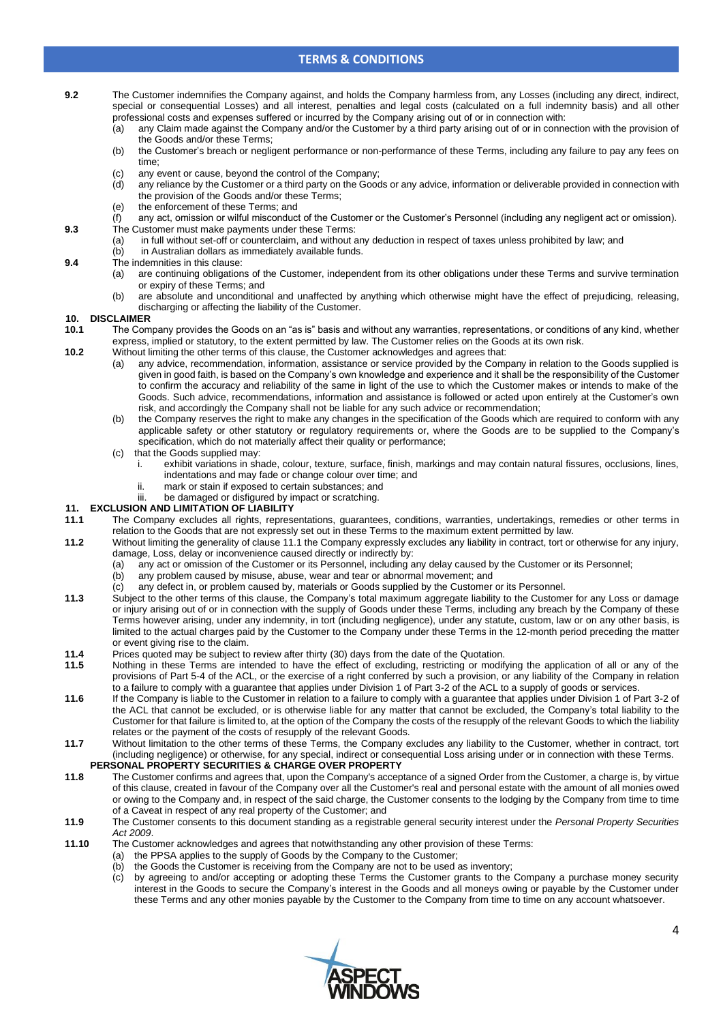- **9.2** The Customer indemnifies the Company against, and holds the Company harmless from, any Losses (including any direct, indirect, special or consequential Losses) and all interest, penalties and legal costs (calculated on a full indemnity basis) and all other professional costs and expenses suffered or incurred by the Company arising out of or in connection with:
	- (a) any Claim made against the Company and/or the Customer by a third party arising out of or in connection with the provision of the Goods and/or these Terms;
	- (b) the Customer's breach or negligent performance or non-performance of these Terms, including any failure to pay any fees on time;
	- (c) any event or cause, beyond the control of the Company;<br>(d) any reliance by the Customer or a third party on the Good
	- any reliance by the Customer or a third party on the Goods or any advice, information or deliverable provided in connection with the provision of the Goods and/or these Terms;
	- (e) the enforcement of these Terms; and
- $(f)$  any act, omission or wilful misconduct of the Customer or the Customer's Personnel (including any negligent act or omission). **9.3** The Customer must make payments under these Terms:
	- (a) in full without set-off or counterclaim, and without any deduction in respect of taxes unless prohibited by law; and
	- (b) in Australian dollars as immediately available funds.
- **9.4** The indemnities in this clause:<br>(a) are continuing obligation
	- are continuing obligations of the Customer, independent from its other obligations under these Terms and survive termination or expiry of these Terms; and
	- (b) are absolute and unconditional and unaffected by anything which otherwise might have the effect of prejudicing, releasing, discharging or affecting the liability of the Customer.

#### **10. DISCLAIMER**

- **10.1** The Company provides the Goods on an "as is" basis and without any warranties, representations, or conditions of any kind, whether express, implied or statutory, to the extent permitted by law. The Customer relies on the Goods at its own risk.
- **10.2** Without limiting the other terms of this clause, the Customer acknowledges and agrees that:
	- any advice, recommendation, information, assistance or service provided by the Company in relation to the Goods supplied is given in good faith, is based on the Company's own knowledge and experience and it shall be the responsibility of the Customer to confirm the accuracy and reliability of the same in light of the use to which the Customer makes or intends to make of the Goods. Such advice, recommendations, information and assistance is followed or acted upon entirely at the Customer's own risk, and accordingly the Company shall not be liable for any such advice or recommendation;
	- (b) the Company reserves the right to make any changes in the specification of the Goods which are required to conform with any applicable safety or other statutory or regulatory requirements or, where the Goods are to be supplied to the Company's specification, which do not materially affect their quality or performance;
	- (c) that the Goods supplied may:
		- i. exhibit variations in shade, colour, texture, surface, finish, markings and may contain natural fissures, occlusions, lines, indentations and may fade or change colour over time; and
			- ii. mark or stain if exposed to certain substances; and
		- iii. be damaged or disfigured by impact or scratching.

## **11. EXCLUSION AND LIMITATION OF LIABILITY**

- <span id="page-3-0"></span>**11.1** The Company excludes all rights, representations, guarantees, conditions, warranties, undertakings, remedies or other terms in relation to the Goods that are not expressly set out in these Terms to the maximum extent permitted by law.
- **11.2** Without limiting the generality of clause [11.1](#page-3-0) the Company expressly excludes any liability in contract, tort or otherwise for any injury, damage, Loss, delay or inconvenience caused directly or indirectly by:
	- (a) any act or omission of the Customer or its Personnel, including any delay caused by the Customer or its Personnel;
	- (b) any problem caused by misuse, abuse, wear and tear or abnormal movement; and
	- (c) any defect in, or problem caused by, materials or Goods supplied by the Customer or its Personnel.
- **11.3** Subject to the other terms of this clause, the Company's total maximum aggregate liability to the Customer for any Loss or damage or injury arising out of or in connection with the supply of Goods under these Terms, including any breach by the Company of these Terms however arising, under any indemnity, in tort (including negligence), under any statute, custom, law or on any other basis, is limited to the actual charges paid by the Customer to the Company under these Terms in the 12-month period preceding the matter or event giving rise to the claim.
- **11.4** Prices quoted may be subject to review after thirty (30) days from the date of the Quotation.
- **11.5** Nothing in these Terms are intended to have the effect of excluding, restricting or modifying the application of all or any of the provisions of Part 5-4 of the ACL, or the exercise of a right conferred by such a provision, or any liability of the Company in relation to a failure to comply with a guarantee that applies under Division 1 of Part 3-2 of the ACL to a supply of goods or services.
- **11.6** If the Company is liable to the Customer in relation to a failure to comply with a guarantee that applies under Division 1 of Part 3-2 of the ACL that cannot be excluded, or is otherwise liable for any matter that cannot be excluded, the Company's total liability to the Customer for that failure is limited to, at the option of the Company the costs of the resupply of the relevant Goods to which the liability relates or the payment of the costs of resupply of the relevant Goods.
- **11.7** Without limitation to the other terms of these Terms, the Company excludes any liability to the Customer, whether in contract, tort (including negligence) or otherwise, for any special, indirect or consequential Loss arising under or in connection with these Terms. **PERSONAL PROPERTY SECURITIES & CHARGE OVER PROPERTY**
- **11.8** The Customer confirms and agrees that, upon the Company's acceptance of a signed Order from the Customer, a charge is, by virtue of this clause, created in favour of the Company over all the Customer's real and personal estate with the amount of all monies owed or owing to the Company and, in respect of the said charge, the Customer consents to the lodging by the Company from time to time of a Caveat in respect of any real property of the Customer; and
- **11.9** The Customer consents to this document standing as a registrable general security interest under the *Personal Property Securities Act 2009*.
- **11.10** The Customer acknowledges and agrees that notwithstanding any other provision of these Terms:
	- (a) the PPSA applies to the supply of Goods by the Company to the Customer;
	- (b) the Goods the Customer is receiving from the Company are not to be used as inventory;
	- (c) by agreeing to and/or accepting or adopting these Terms the Customer grants to the Company a purchase money security interest in the Goods to secure the Company's interest in the Goods and all moneys owing or payable by the Customer under these Terms and any other monies payable by the Customer to the Company from time to time on any account whatsoever.